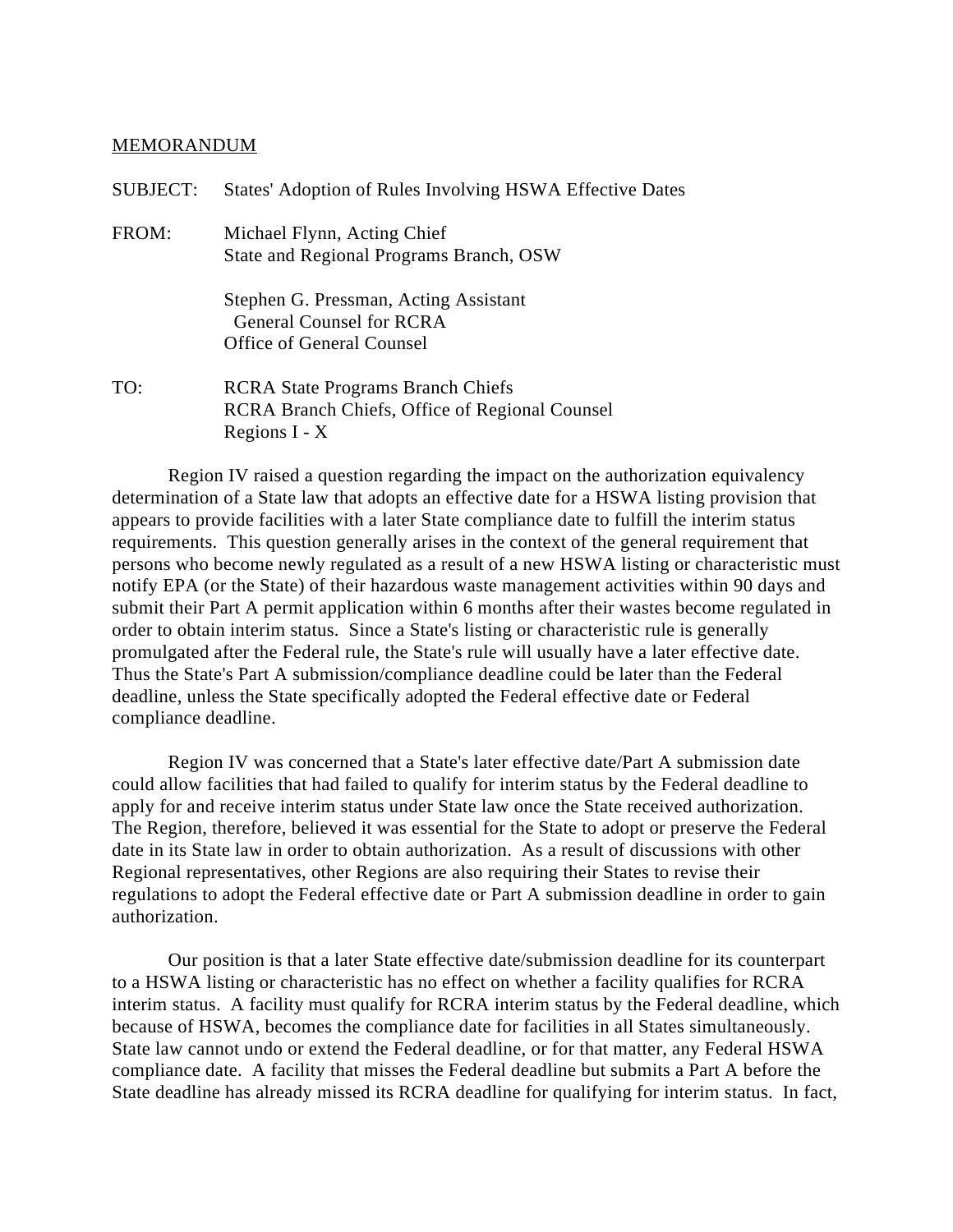## MEMORANDUM

| <b>SUBJECT:</b> | States' Adoption of Rules Involving HSWA Effective Dates                                                    |
|-----------------|-------------------------------------------------------------------------------------------------------------|
| FROM:           | Michael Flynn, Acting Chief<br>State and Regional Programs Branch, OSW                                      |
|                 | Stephen G. Pressman, Acting Assistant<br>General Counsel for RCRA<br>Office of General Counsel              |
| TO:             | <b>RCRA</b> State Programs Branch Chiefs<br>RCRA Branch Chiefs, Office of Regional Counsel<br>Regions I - X |

Region IV raised a question regarding the impact on the authorization equivalency determination of a State law that adopts an effective date for a HSWA listing provision that appears to provide facilities with a later State compliance date to fulfill the interim status requirements. This question generally arises in the context of the general requirement that persons who become newly regulated as a result of a new HSWA listing or characteristic must notify EPA (or the State) of their hazardous waste management activities within 90 days and submit their Part A permit application within 6 months after their wastes become regulated in order to obtain interim status. Since a State's listing or characteristic rule is generally promulgated after the Federal rule, the State's rule will usually have a later effective date. Thus the State's Part A submission/compliance deadline could be later than the Federal deadline, unless the State specifically adopted the Federal effective date or Federal compliance deadline.

Region IV was concerned that a State's later effective date/Part A submission date could allow facilities that had failed to qualify for interim status by the Federal deadline to apply for and receive interim status under State law once the State received authorization. The Region, therefore, believed it was essential for the State to adopt or preserve the Federal date in its State law in order to obtain authorization. As a result of discussions with other Regional representatives, other Regions are also requiring their States to revise their regulations to adopt the Federal effective date or Part A submission deadline in order to gain authorization.

Our position is that a later State effective date/submission deadline for its counterpart to a HSWA listing or characteristic has no effect on whether a facility qualifies for RCRA interim status. A facility must qualify for RCRA interim status by the Federal deadline, which because of HSWA, becomes the compliance date for facilities in all States simultaneously. State law cannot undo or extend the Federal deadline, or for that matter, any Federal HSWA compliance date. A facility that misses the Federal deadline but submits a Part A before the State deadline has already missed its RCRA deadline for qualifying for interim status. In fact,